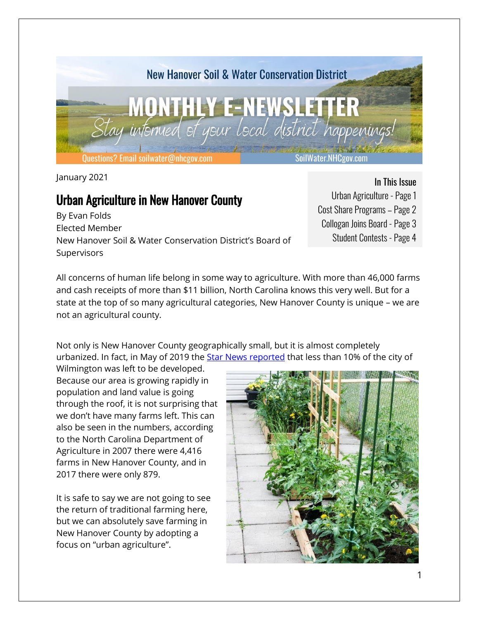

January 2021

# Urban Agriculture in New Hanover County

By Evan Folds Elected Member New Hanover Soil & Water Conservation District's Board of **Supervisors** 

#### In This Issue

- Urban Agriculture Page 1 Cost Share Programs – Page 2 Collogan Joins Board - Page 3
	- Student Contests Page 4

All concerns of human life belong in some way to agriculture. With more than 46,000 farms and cash receipts of more than \$11 billion, North Carolina knows this very well. But for a state at the top of so many agricultural categories, New Hanover County is unique – we are not an agricultural county.

Not only is New Hanover County geographically small, but it is almost completely urbanized. In fact, in May of 2019 the **Star News reported** that less than 10% of the city of

Wilmington was left to be developed. Because our area is growing rapidly in population and land value is going through the roof, it is not surprising that we don't have many farms left. This can also be seen in the numbers, according to the North Carolina Department of Agriculture in 2007 there were 4,416 farms in New Hanover County, and in 2017 there were only 879.

It is safe to say we are not going to see the return of traditional farming here, but we can absolutely save farming in New Hanover County by adopting a focus on "urban agriculture".

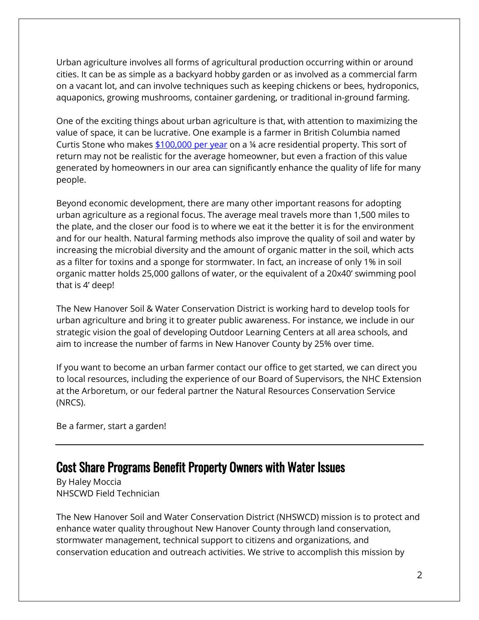Urban agriculture involves all forms of agricultural production occurring within or around cities. It can be as simple as a backyard hobby garden or as involved as a commercial farm on a vacant lot, and can involve techniques such as keeping chickens or bees, hydroponics, aquaponics, growing mushrooms, container gardening, or traditional in-ground farming.

One of the exciting things about urban agriculture is that, with attention to maximizing the value of space, it can be lucrative. One example is a farmer in British Columbia named Curtis Stone who makes  $$100,000$  per year on a ¼ acre residential property. This sort of return may not be realistic for the average homeowner, but even a fraction of this value generated by homeowners in our area can significantly enhance the quality of life for many people.

Beyond economic development, there are many other important reasons for adopting urban agriculture as a regional focus. The average meal travels more than 1,500 miles to the plate, and the closer our food is to where we eat it the better it is for the environment and for our health. Natural farming methods also improve the quality of soil and water by increasing the microbial diversity and the amount of organic matter in the soil, which acts as a filter for toxins and a sponge for stormwater. In fact, an increase of only 1% in soil organic matter holds 25,000 gallons of water, or the equivalent of a 20x40' swimming pool that is 4' deep!

The New Hanover Soil & Water Conservation District is working hard to develop tools for urban agriculture and bring it to greater public awareness. For instance, we include in our strategic vision the goal of developing Outdoor Learning Centers at all area schools, and aim to increase the number of farms in New Hanover County by 25% over time.

If you want to become an urban farmer contact our office to get started, we can direct you to local resources, including the experience of our Board of Supervisors, the NHC Extension at the Arboretum, or our federal partner the Natural Resources Conservation Service (NRCS).

Be a farmer, start a garden!

### Cost Share Programs Benefit Property Owners with Water Issues

By Haley Moccia NHSCWD Field Technician

The New Hanover Soil and Water Conservation District (NHSWCD) mission is to protect and enhance water quality throughout New Hanover County through land conservation, stormwater management, technical support to citizens and organizations, and conservation education and outreach activities. We strive to accomplish this mission by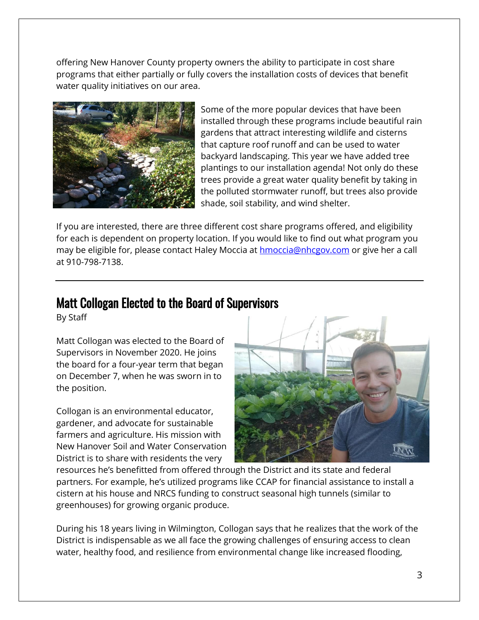offering New Hanover County property owners the ability to participate in cost share programs that either partially or fully covers the installation costs of devices that benefit water quality initiatives on our area.



Some of the more popular devices that have been installed through these programs include beautiful rain gardens that attract interesting wildlife and cisterns that capture roof runoff and can be used to water backyard landscaping. This year we have added tree plantings to our installation agenda! Not only do these trees provide a great water quality benefit by taking in the polluted stormwater runoff, but trees also provide shade, soil stability, and wind shelter.

If you are interested, there are three different cost share programs offered, and eligibility for each is dependent on property location. If you would like to find out what program you may be eligible for, please contact Haley Moccia at [hmoccia@nhcgov.com](mailto:hmoccia@nhcgov.com) or give her a call at 910-798-7138.

## Matt Collogan Elected to the Board of Supervisors

By Staff

Matt Collogan was elected to the Board of Supervisors in November 2020. He joins the board for a four-year term that began on December 7, when he was sworn in to the position.

Collogan is an environmental educator, gardener, and advocate for sustainable farmers and agriculture. His mission with New Hanover Soil and Water Conservation District is to share with residents the very



resources he's benefitted from offered through the District and its state and federal partners. For example, he's utilized programs like CCAP for financial assistance to install a cistern at his house and NRCS funding to construct seasonal high tunnels (similar to greenhouses) for growing organic produce.

During his 18 years living in Wilmington, Collogan says that he realizes that the work of the District is indispensable as we all face the growing challenges of ensuring access to clean water, healthy food, and resilience from environmental change like increased flooding,